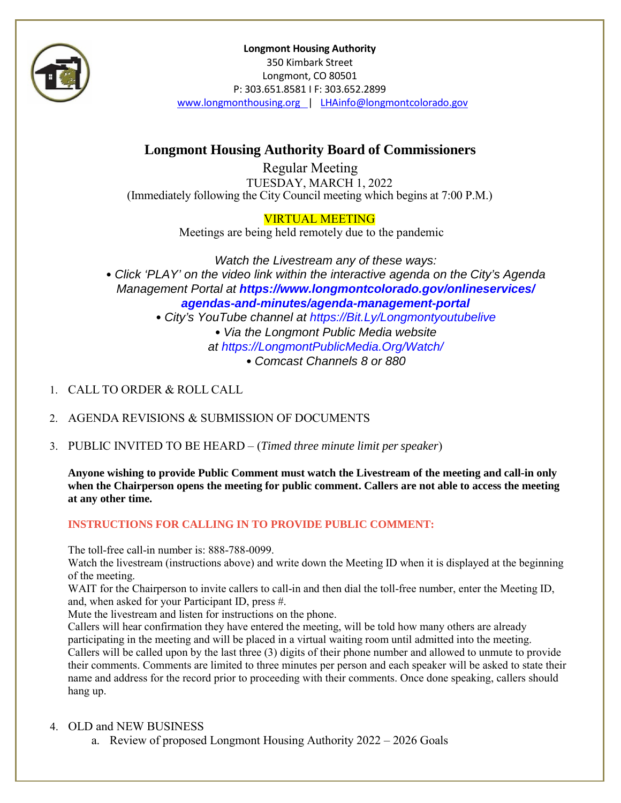

**Longmont Housing Authority** 350 Kimbark Street Longmont, CO 80501 P: 303.651.8581 I F: 303.652.2899 [www.longmonthousing.org |](http://www.longmonthousing.org/) [LHAinfo@longmontcolorado.gov](mailto:LHAinfo@longmontcolorado.gov)

# **Longmont Housing Authority Board of Commissioners**

Regular Meeting TUESDAY, MARCH 1, 2022 (Immediately following the City Council meeting which begins at 7:00 P.M.)

### VIRTUAL MEETING

Meetings are being held remotely due to the pandemic

*Watch the Livestream any of these ways:* • *Click 'PLAY' on the video link within the interactive agenda on the City's Agenda Management Portal at https://www.longmontcolorado.gov/onlineservices/ agendas-and-minutes/agenda-management-portal*

• *City's YouTube channel at https://Bit.Ly/Longmontyoutubelive*

• *Via the Longmont Public Media website*

*at https://LongmontPublicMedia.Org/Watch/*

• *Comcast Channels 8 or 880*

- 1. CALL TO ORDER & ROLL CALL
- 2. AGENDA REVISIONS & SUBMISSION OF DOCUMENTS
- 3. PUBLIC INVITED TO BE HEARD (*Timed three minute limit perspeaker*)

**Anyone wishing to provide Public Comment must watch the Livestream of the meeting and call-in only when the Chairperson opens the meeting for public comment. Callers are not able to access the meeting at any other time.**

#### **INSTRUCTIONS FOR CALLING IN TO PROVIDE PUBLIC COMMENT:**

The toll-free call-in number is: 888-788-0099.

Watch the livestream (instructions above) and write down the Meeting ID when it is displayed at the beginning of the meeting.

WAIT for the Chairperson to invite callers to call-in and then dial the toll-free number, enter the Meeting ID, and, when asked for your Participant ID, press #.

Mute the livestream and listen for instructions on the phone.

Callers will hear confirmation they have entered the meeting, will be told how many others are already participating in the meeting and will be placed in a virtual waiting room until admitted into the meeting. Callers will be called upon by the last three (3) digits of their phone number and allowed to unmute to provide their comments. Comments are limited to three minutes per person and each speaker will be asked to state their name and address for the record prior to proceeding with their comments. Once done speaking, callers should hang up.

#### 4. [OLD a](https://www.longmonthousing.org/announcements-events)[nd NEW](https://www.longmontcolorado.gov/agendas) BUSINESS

a. Review of proposed Longmont Housing Authority 2022 – 2026 Goals